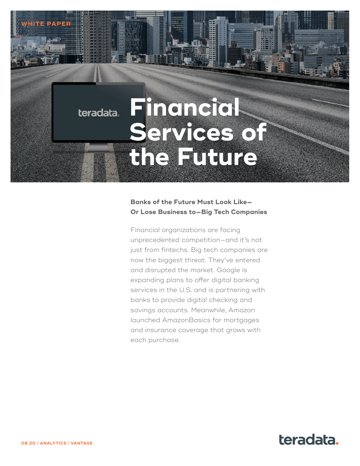# **Financial Services of the Future**

# **Banks of the Future Must Look Like— Or Lose Business to—Big Tech Companies**

Financial organizations are facing unprecedented competition—and it's not just from fintechs. Big tech companies are now the biggest threat. They've entered and disrupted the market. Google is expanding plans to offer digital banking services in the U.S. and is partnering with banks to provide digital checking and savings accounts. Meanwhile, Amazon launched AmazonBasics for mortgages and insurance coverage that grows with each purchase.



**WHITE PAPER**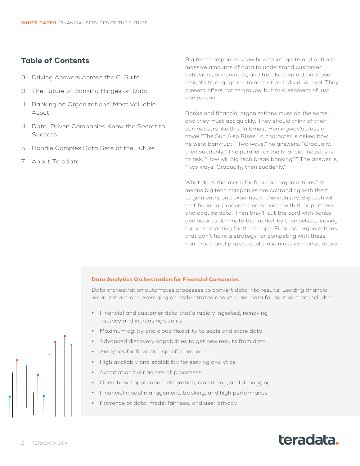# **Table of Contents**

- 3 [Driving Answers Across the C-Suite](#page-2-0)
- 3 [The Future of Banking Hinges on Data](#page-2-0)
- 4 [Banking on Organizations' Most Valuable](#page-3-0)  [Asset](#page-3-0)
- 4 [Data-Driven Companies Know the Secret to](#page-3-0)  **[Success](#page-3-0)**
- 5 [Handle Complex Data Sets of the Future](#page-4-0)
- 7 [About Teradata](#page-6-0)

Big tech companies know how to integrate and optimize massive amounts of data to understand customer behaviors, preferences, and trends, then act on those insights to engage customers at an individual level. They present offers not to groups, but to a segment of just one person.

Banks and financial organizations must do the same, and they must act quickly. They should think of their competitors like this: In Ernest Hemingway's classic novel "The Sun Also Rises," a character is asked how he went bankrupt. "Two ways," he answers. "Gradually, then suddenly." The parallel for the financial industry is to ask, "How will big tech break banking?" The answer is, "Two ways. Gradually, then suddenly."

What does this mean for financial organizations? It means big tech companies are cobranding with them to gain entry and expertise in the industry. Big tech will test financial products and services with their partners and acquire data. Then they'll cut the cord with banks and seek to dominate the market by themselves, leaving banks competing for the scraps. Financial organizations that don't have a strategy for competing with these non-traditional players could lose massive market share.

### **Data Analytics Orchestration for Financial Companies**

Data orchestration automates processes to convert data into results. Leading financial organizations are leveraging an orchestrated analytic and data foundation that includes:

- **•** Financial and customer data that's rapidly ingested, removing latency and increasing quality
- **•** Maximum agility and cloud flexibility to scale and store data
- **•** Advanced discovery capabilities to get new results from data
- **•** Analytics for financial-specific programs
- **•** High availably and scalability for serving analytics
- **•** Automation built across all processes
- **•** Operational application integration, monitoring, and debugging
- **•** Financial model management, tracking, and high performance
- **•** Provence of data, model fairness, and user privacy

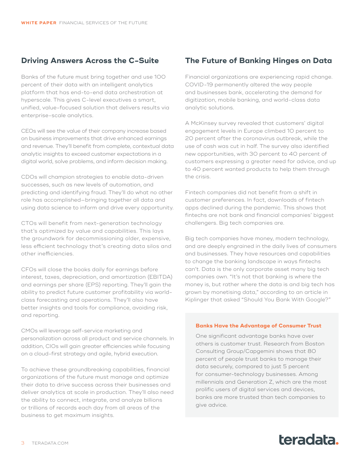# <span id="page-2-0"></span>**Driving Answers Across the C-Suite**

Banks of the future must bring together and use 100 percent of their data with an intelligent analytics platform that has end-to-end data orchestration at hyperscale. This gives C-level executives a smart, unified, value-focused solution that delivers results via enterprise-scale analytics.

CEOs will see the value of their company increase based on business improvements that drive enhanced earnings and revenue. They'll benefit from complete, contextual data analytic insights to exceed customer expectations in a digital world, solve problems, and inform decision making.

CDOs will champion strategies to enable data-driven successes, such as new levels of automation, and predicting and identifying fraud. They'll do what no other role has accomplished—bringing together all data and using data science to inform and drive every opportunity.

CTOs will benefit from next-generation technology that's optimized by value and capabilities. This lays the groundwork for decommissioning older, expensive, less efficient technology that's creating data silos and other inefficiencies.

CFOs will close the books daily for earnings before interest, taxes, depreciation, and amortization (EBITDA) and earnings per share (EPS) reporting. They'll gain the ability to predict future customer profitability via worldclass forecasting and operations. They'll also have better insights and tools for compliance, avoiding risk, and reporting.

CMOs will leverage self-service marketing and personalization across all product and service channels. In addition, CIOs will gain greater efficiencies while focusing on a cloud-first strategy and agile, hybrid execution.

To achieve these groundbreaking capabilities, financial organizations of the future must manage and optimize their data to drive success across their businesses and deliver analytics at scale in production. They'll also need the ability to connect, integrate, and analyze billions or trillions of records each day from all areas of the business to get maximum insights.

# **The Future of Banking Hinges on Data**

Financial organizations are experiencing rapid change. COVID-19 permanently altered the way people and businesses bank, accelerating the demand for digitization, mobile banking, and world-class data analytic solutions.

A McKinsey survey revealed that customers' digital engagement levels in Europe climbed 10 percent to 20 percent after the coronavirus outbreak, while the use of cash was cut in half. The survey also identified new opportunities, with 30 percent to 40 percent of customers expressing a greater need for advice, and up to 40 percent wanted products to help them through the crisis.

Fintech companies did not benefit from a shift in customer preferences. In fact, downloads of fintech apps declined during the pandemic. This shows that fintechs are not bank and financial companies' biggest challengers. Big tech companies are.

Big tech companies have money, modern technology, and are deeply engrained in the daily lives of consumers and businesses. They have resources and capabilities to change the banking landscape in ways fintechs can't. Data is the only corporate asset many big tech companies own. "It's not that banking is where the money is, but rather where the data is and big tech has grown by monetising data," according to an article in Kiplinger that asked "Should You Bank With Google?"

### **Banks Have the Advantage of Consumer Trust**

One significant advantage banks have over others is customer trust. Research from Boston Consulting Group/Capgemini shows that 80 percent of people trust banks to manage their data securely, compared to just 5 percent for consumer-technology businesses. Among millennials and Generation Z, which are the most prolific users of digital services and devices, banks are more trusted than tech companies to give advice.

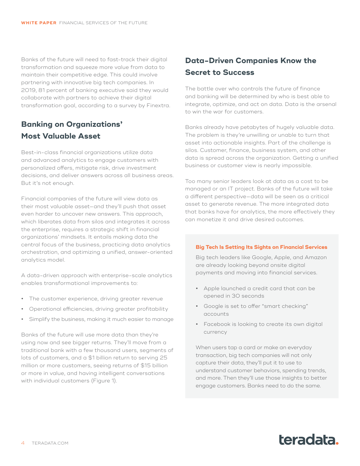<span id="page-3-0"></span>Banks of the future will need to fast-track their digital transformation and squeeze more value from data to maintain their competitive edge. This could involve partnering with innovative big tech companies. In 2019, 81 percent of banking executive said they would collaborate with partners to achieve their digital transformation goal, according to a survey by Finextra.

# **Banking on Organizations' Most Valuable Asset**

Best-in-class financial organizations utilize data and advanced analytics to engage customers with personalized offers, mitigate risk, drive investment decisions, and deliver answers across all business areas. But it's not enough.

Financial companies of the future will view data as their most valuable asset—and they'll push that asset even harder to uncover new answers. This approach, which liberates data from silos and integrates it across the enterprise, requires a strategic shift in financial organizations' mindsets. It entails making data the central focus of the business, practicing data analytics orchestration, and optimizing a unified, answer-oriented analytics model.

A data-driven approach with enterprise-scale analytics enables transformational improvements to:

- **•** The customer experience, driving greater revenue
- **•** Operational efficiencies, driving greater profitability
- **•** Simplify the business, making it much easier to manage

Banks of the future will use more data than they're using now and see bigger returns. They'll move from a traditional bank with a few thousand users, segments of lots of customers, and a \$1 billion return to serving 25 million or more customers, seeing returns of \$15 billion or more in value, and having intelligent conversations with individual customers (Figure 1).

# **Data-Driven Companies Know the Secret to Success**

The battle over who controls the future of finance and banking will be determined by who is best able to integrate, optimize, and act on data. Data is the arsenal to win the war for customers.

Banks already have petabytes of hugely valuable data. The problem is they're unwilling or unable to turn that asset into actionable insights. Part of the challenge is silos. Customer, finance, business system, and other data is spread across the organization. Getting a unified business or customer view is nearly impossible.

Too many senior leaders look at data as a cost to be managed or an IT project. Banks of the future will take a different perspective—data will be seen as a critical asset to generate revenue. The more integrated data that banks have for analytics, the more effectively they can monetize it and drive desired outcomes.

### **Big Tech Is Setting Its Sights on Financial Services**

Big tech leaders like Google, Apple, and Amazon are already looking beyond onsite digital payments and moving into financial services.

- **•** Apple launched a credit card that can be opened in 30 seconds
- **•** Google is set to offer "smart checking" accounts
- **•** Facebook is looking to create its own digital currency

When users tap a card or make an everyday transaction, big tech companies will not only capture their data, they'll put it to use to understand customer behaviors, spending trends, and more. Then they'll use those insights to better engage customers. Banks need to do the same.

# teradata.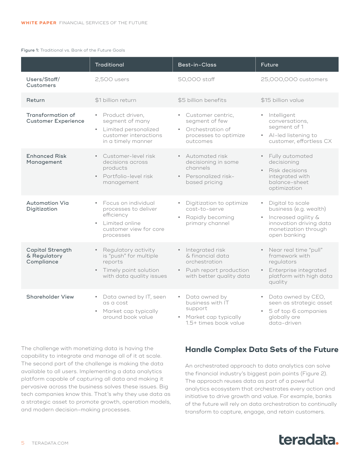#### <span id="page-4-0"></span>Figure 1: Traditional vs. Bank of the Future Goals

|                                                       | <b>Traditional</b>                                                                                                                           | Best-in-Class                                                                                                               | <b>Future</b>                                                                                                                                       |
|-------------------------------------------------------|----------------------------------------------------------------------------------------------------------------------------------------------|-----------------------------------------------------------------------------------------------------------------------------|-----------------------------------------------------------------------------------------------------------------------------------------------------|
| Users/Staff/<br>Customers                             | 2,500 users                                                                                                                                  | 50,000 staff                                                                                                                | 25,000,000 customers                                                                                                                                |
| Return                                                | \$1 billion return                                                                                                                           | \$5 billion benefits                                                                                                        | \$15 billion value                                                                                                                                  |
| Transformation of<br><b>Customer Experience</b>       | Product driven,<br>$\bullet$<br>segment of many<br>Limited personalized<br>$\bullet$<br>customer interactions<br>in a timely manner          | Customer centric,<br>$\bullet$ .<br>segment of few<br>Orchestration of<br>$\bullet$ .<br>processes to optimize<br>outcomes  | · Intelligent<br>conversations,<br>segment of 1<br>• Al-led listening to<br>customer, effortless CX                                                 |
| <b>Enhanced Risk</b><br>Management                    | Customer-level risk<br>$\bullet$<br>decisions across<br>products<br>Portfolio-level risk<br>$\bullet$<br>management                          | • Automated risk<br>decisioning in some<br>channels<br>• Personalized risk-<br>based pricing                                | • Fully automated<br>decisioning<br>Risk decisions<br>integrated with<br>balance-sheet<br>optimization                                              |
| <b>Automation Via</b><br>Digitization                 | Focus on individual<br>$\bullet$<br>processes to deliver<br>efficiency<br>Limited online<br>$\bullet$<br>customer view for core<br>processes | Digitization to optimize<br>cost-to-serve<br>Rapidly becoming<br>primary channel                                            | • Digital to scale<br>business (e.g. wealth)<br>Increased agility &<br>$\bullet$<br>innovation driving data<br>monetization through<br>open banking |
| <b>Capital Strength</b><br>& Regulatory<br>Compliance | Regulatory activity<br>$\bullet$<br>is "push" for multiple<br>reports<br>Timely point solution<br>$\bullet$<br>with data quality issues      | · Integrated risk<br>& financial data<br>orchestration<br>Push report production<br>$\bullet$ .<br>with better quality data | • Near real time "pull"<br>framework with<br>regulators<br>Enterprise integrated<br>$\bullet$<br>platform with high data<br>quality                 |
| <b>Shareholder View</b>                               | Data owned by IT, seen<br>$\bullet$<br>as a cost<br>Market cap typically<br>$\bullet$<br>around book value                                   | Data owned by<br>business with IT<br>support<br>Market cap typically<br>$\bullet$<br>1.5+ times book value                  | Data owned by CEO,<br>$\bullet$<br>seen as strategic asset<br>5 of top 6 companies<br>globally are<br>data-driven                                   |

The challenge with monetizing data is having the capability to integrate and manage all of it at scale. The second part of the challenge is making the data available to all users. Implementing a data analytics platform capable of capturing all data and making it pervasive across the business solves these issues. Big tech companies know this. That's why they use data as a strategic asset to promote growth, operation models, and modern decision-making processes.

### **Handle Complex Data Sets of the Future**

An orchestrated approach to data analytics can solve the financial industry's biggest pain points (Figure 2). The approach reuses data as part of a powerful analytics ecosystem that orchestrates every action and initiative to drive growth and value. For example, banks of the future will rely on data orchestration to continually transform to capture, engage, and retain customers.

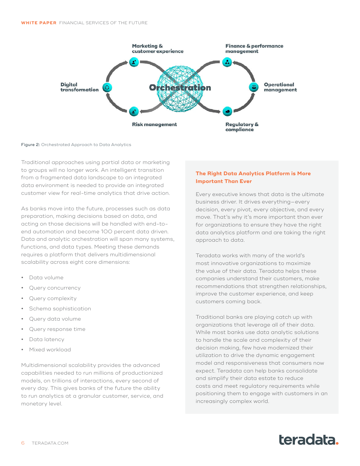

Figure 2: Orchestrated Approach to Data Analytics

Traditional approaches using partial data or marketing to groups will no longer work. An intelligent transition from a fragmented data landscape to an integrated data environment is needed to provide an integrated customer view for real-time analytics that drive action.

As banks move into the future, processes such as data preparation, making decisions based on data, and acting on those decisions will be handled with end-toend automation and become 100 percent data driven. Data and analytic orchestration will span many systems, functions, and data types. Meeting these demands requires a platform that delivers multidimensional scalability across eight core dimensions:

- **•** Data volume
- **•** Query concurrency
- **•** Query complexity
- **•** Schema sophistication
- **•** Query data volume
- **•** Query response time
- **•** Data latency
- **•** Mixed workload

Multidimensional scalability provides the advanced capabilities needed to run millions of productionized models, on trillions of interactions, every second of every day. This gives banks of the future the ability to run analytics at a granular customer, service, and monetary level.

### **The Right Data Analytics Platform is More Important Than Ever**

Every executive knows that data is the ultimate business driver. It drives everything—every decision, every pivot, every objective, and every move. That's why it's more important than ever for organizations to ensure they have the right data analytics platform and are taking the right approach to data.

Teradata works with many of the world's most innovative organizations to maximize the value of their data. Teradata helps these companies understand their customers, make recommendations that strengthen relationships, improve the customer experience, and keep customers coming back.

Traditional banks are playing catch up with organizations that leverage all of their data. While most banks use data analytic solutions to handle the scale and complexity of their decision making, few have modernized their utilization to drive the dynamic engagement model and responsiveness that consumers now expect. Teradata can help banks consolidate and simplify their data estate to reduce costs and meet regulatory requirements while positioning them to engage with customers in an increasingly complex world.